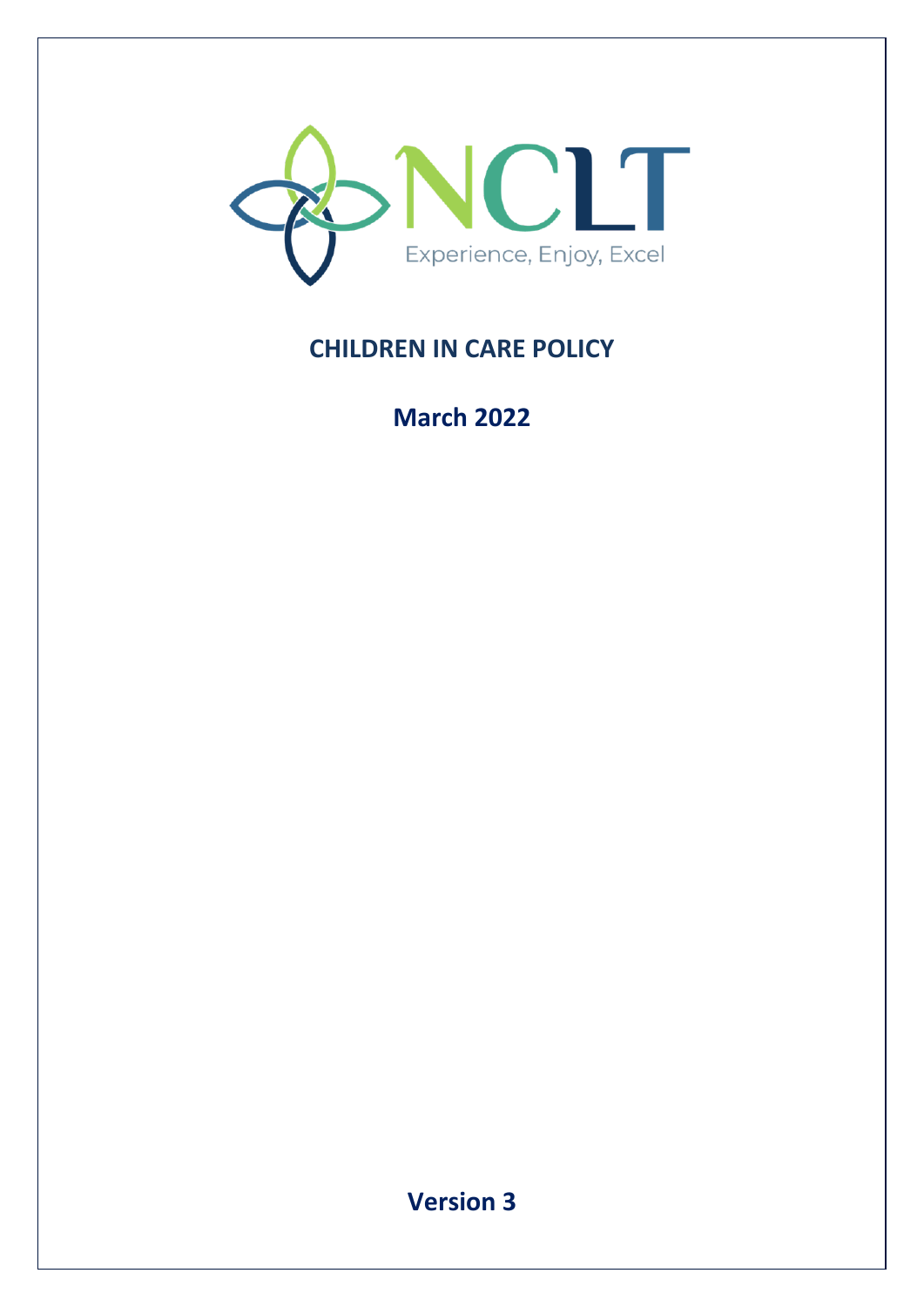

# **CHILDREN IN CARE POLICY**

**March 2022**

**Version 3**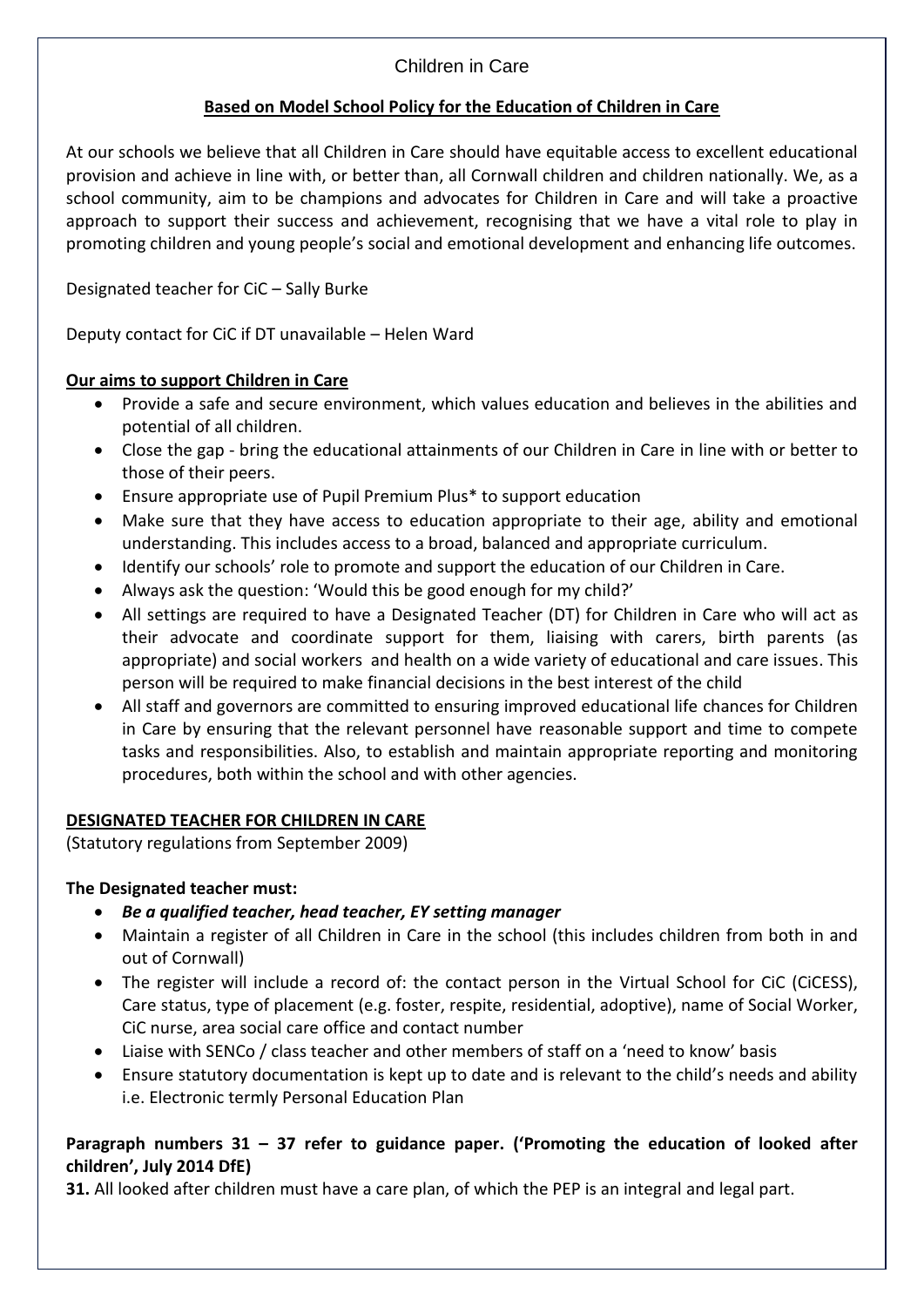#### **Based on Model School Policy for the Education of Children in Care**

At our schools we believe that all Children in Care should have equitable access to excellent educational provision and achieve in line with, or better than, all Cornwall children and children nationally. We, as a school community, aim to be champions and advocates for Children in Care and will take a proactive approach to support their success and achievement, recognising that we have a vital role to play in promoting children and young people's social and emotional development and enhancing life outcomes.

### Designated teacher for CiC – Sally Burke

Deputy contact for CiC if DT unavailable – Helen Ward

#### **Our aims to support Children in Care**

- Provide a safe and secure environment, which values education and believes in the abilities and potential of all children.
- Close the gap bring the educational attainments of our Children in Care in line with or better to those of their peers.
- Ensure appropriate use of Pupil Premium Plus\* to support education
- Make sure that they have access to education appropriate to their age, ability and emotional understanding. This includes access to a broad, balanced and appropriate curriculum.
- Identify our schools' role to promote and support the education of our Children in Care.
- Always ask the question: 'Would this be good enough for my child?'
- All settings are required to have a Designated Teacher (DT) for Children in Care who will act as their advocate and coordinate support for them, liaising with carers, birth parents (as appropriate) and social workers and health on a wide variety of educational and care issues. This person will be required to make financial decisions in the best interest of the child
- All staff and governors are committed to ensuring improved educational life chances for Children in Care by ensuring that the relevant personnel have reasonable support and time to compete tasks and responsibilities. Also, to establish and maintain appropriate reporting and monitoring procedures, both within the school and with other agencies.

### **DESIGNATED TEACHER FOR CHILDREN IN CARE**

(Statutory regulations from September 2009)

### **The Designated teacher must:**

- *Be a qualified teacher, head teacher, EY setting manager*
- Maintain a register of all Children in Care in the school (this includes children from both in and out of Cornwall)
- The register will include a record of: the contact person in the Virtual School for CiC (CiCESS), Care status, type of placement (e.g. foster, respite, residential, adoptive), name of Social Worker, CiC nurse, area social care office and contact number
- Liaise with SENCo / class teacher and other members of staff on a 'need to know' basis
- Ensure statutory documentation is kept up to date and is relevant to the child's needs and ability i.e. Electronic termly Personal Education Plan

### **Paragraph numbers 31 – 37 refer to guidance paper. ('Promoting the education of looked after children', July 2014 DfE)**

**31.** All looked after children must have a care plan, of which the PEP is an integral and legal part.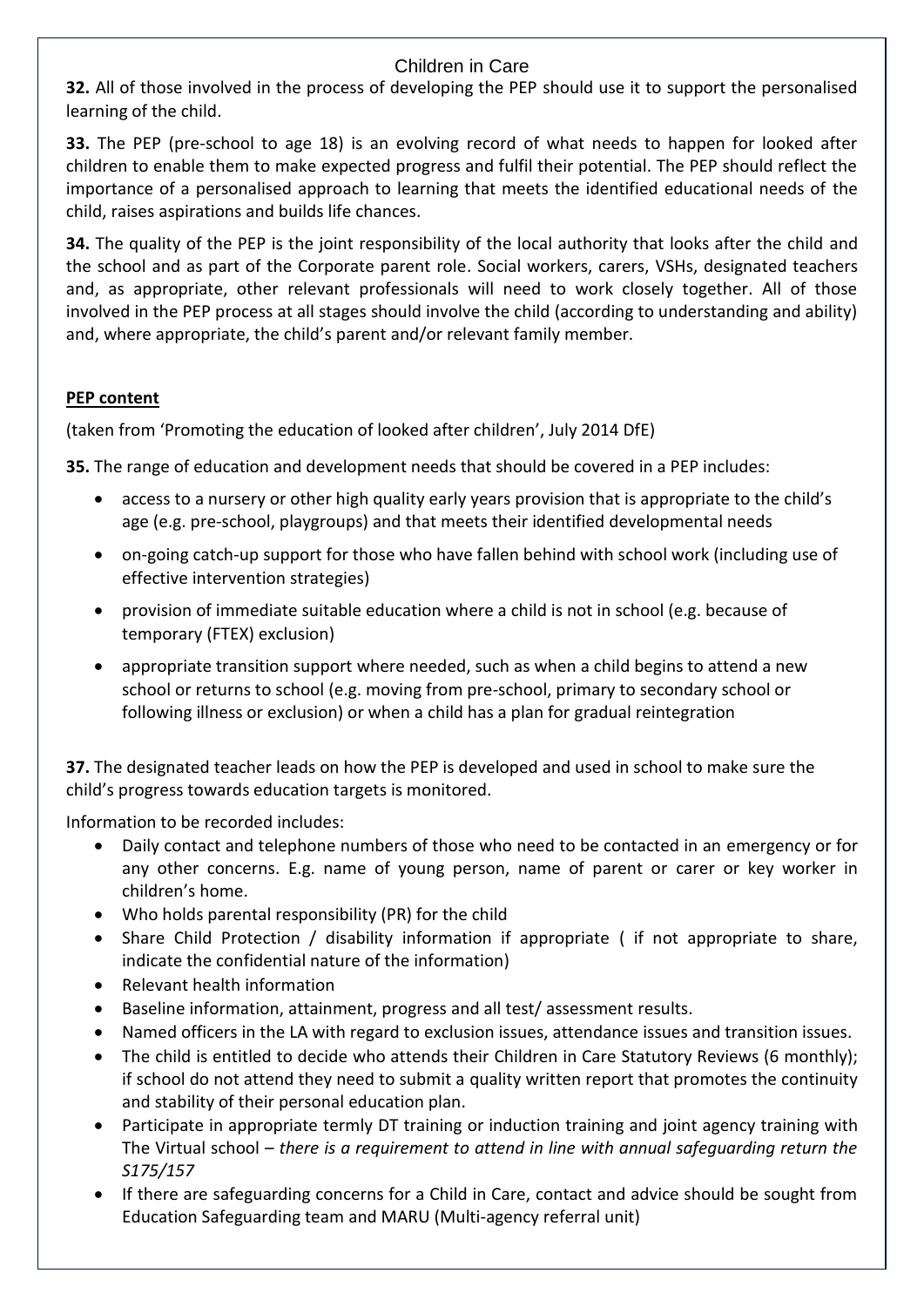**32.** All of those involved in the process of developing the PEP should use it to support the personalised learning of the child.

**33.** The PEP (pre-school to age 18) is an evolving record of what needs to happen for looked after children to enable them to make expected progress and fulfil their potential. The PEP should reflect the importance of a personalised approach to learning that meets the identified educational needs of the child, raises aspirations and builds life chances.

**34.** The quality of the PEP is the joint responsibility of the local authority that looks after the child and the school and as part of the Corporate parent role. Social workers, carers, VSHs, designated teachers and, as appropriate, other relevant professionals will need to work closely together. All of those involved in the PEP process at all stages should involve the child (according to understanding and ability) and, where appropriate, the child's parent and/or relevant family member.

#### **PEP content**

(taken from 'Promoting the education of looked after children', July 2014 DfE)

**35.** The range of education and development needs that should be covered in a PEP includes:

- access to a nursery or other high quality early years provision that is appropriate to the child's age (e.g. pre-school, playgroups) and that meets their identified developmental needs
- on-going catch-up support for those who have fallen behind with school work (including use of effective intervention strategies)
- provision of immediate suitable education where a child is not in school (e.g. because of temporary (FTEX) exclusion)
- appropriate transition support where needed, such as when a child begins to attend a new school or returns to school (e.g. moving from pre-school, primary to secondary school or following illness or exclusion) or when a child has a plan for gradual reintegration

**37.** The designated teacher leads on how the PEP is developed and used in school to make sure the child's progress towards education targets is monitored.

Information to be recorded includes:

- Daily contact and telephone numbers of those who need to be contacted in an emergency or for any other concerns. E.g. name of young person, name of parent or carer or key worker in children's home.
- Who holds parental responsibility (PR) for the child
- Share Child Protection / disability information if appropriate ( if not appropriate to share, indicate the confidential nature of the information)
- Relevant health information
- Baseline information, attainment, progress and all test/ assessment results.
- Named officers in the LA with regard to exclusion issues, attendance issues and transition issues.
- The child is entitled to decide who attends their Children in Care Statutory Reviews (6 monthly); if school do not attend they need to submit a quality written report that promotes the continuity and stability of their personal education plan.
- Participate in appropriate termly DT training or induction training and joint agency training with The Virtual school – *there is a requirement to attend in line with annual safeguarding return the S175/157*
- If there are safeguarding concerns for a Child in Care, contact and advice should be sought from Education Safeguarding team and MARU (Multi-agency referral unit)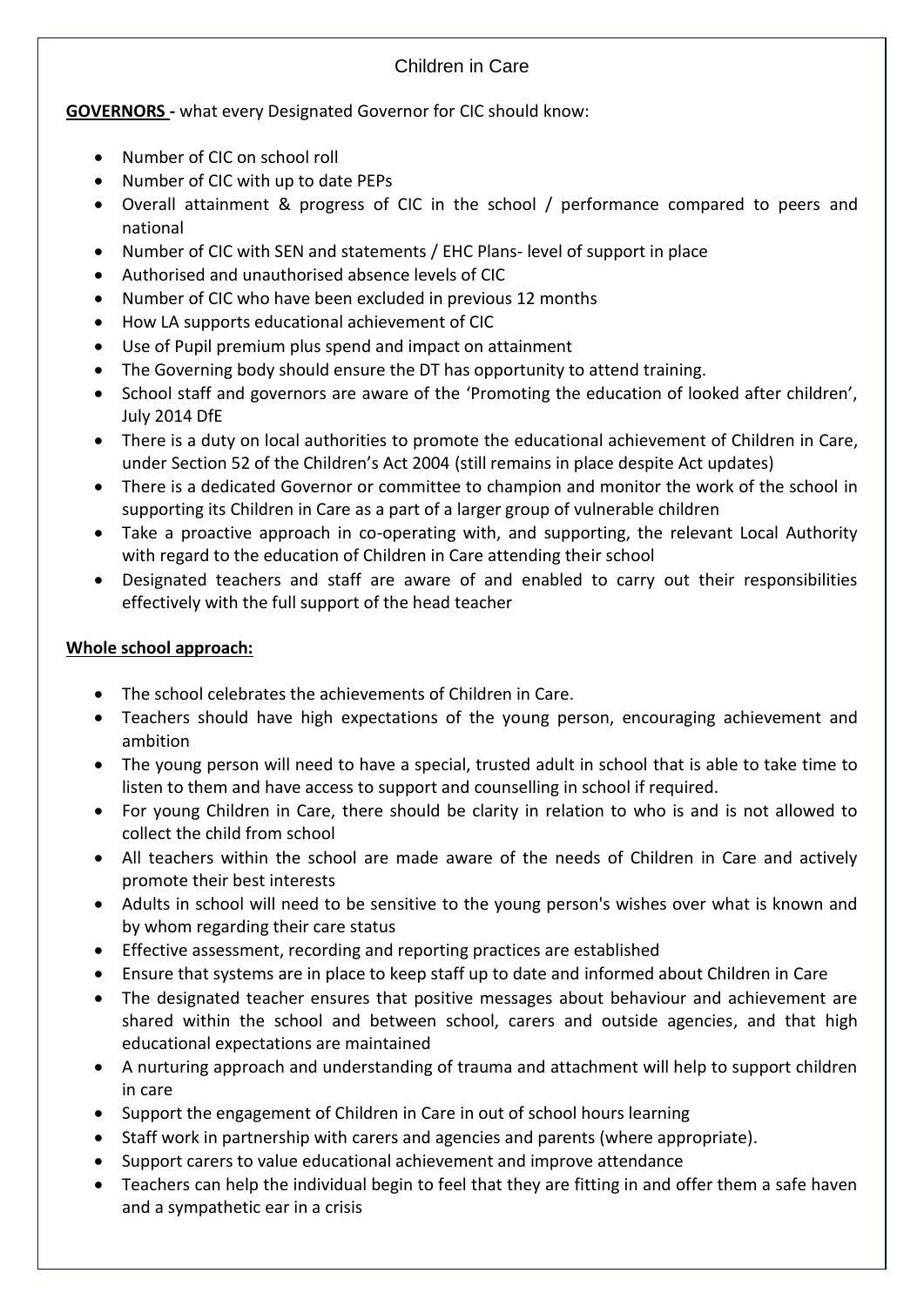### **GOVERNORS -** what every Designated Governor for CIC should know:

- Number of CIC on school roll
- Number of CIC with up to date PEPs
- Overall attainment & progress of CIC in the school / performance compared to peers and national
- Number of CIC with SEN and statements / EHC Plans- level of support in place
- Authorised and unauthorised absence levels of CIC
- Number of CIC who have been excluded in previous 12 months
- How LA supports educational achievement of CIC
- Use of Pupil premium plus spend and impact on attainment
- The Governing body should ensure the DT has opportunity to attend training.
- School staff and governors are aware of the 'Promoting the education of looked after children', July 2014 DfE
- There is a duty on local authorities to promote the educational achievement of Children in Care, under Section 52 of the Children's Act 2004 (still remains in place despite Act updates)
- There is a dedicated Governor or committee to champion and monitor the work of the school in supporting its Children in Care as a part of a larger group of vulnerable children
- Take a proactive approach in co-operating with, and supporting, the relevant Local Authority with regard to the education of Children in Care attending their school
- Designated teachers and staff are aware of and enabled to carry out their responsibilities effectively with the full support of the head teacher

## **Whole school approach:**

- The school celebrates the achievements of Children in Care.
- Teachers should have high expectations of the young person, encouraging achievement and ambition
- The young person will need to have a special, trusted adult in school that is able to take time to listen to them and have access to support and counselling in school if required.
- For young Children in Care, there should be clarity in relation to who is and is not allowed to collect the child from school
- All teachers within the school are made aware of the needs of Children in Care and actively promote their best interests
- Adults in school will need to be sensitive to the young person's wishes over what is known and by whom regarding their care status
- Effective assessment, recording and reporting practices are established
- Ensure that systems are in place to keep staff up to date and informed about Children in Care
- The designated teacher ensures that positive messages about behaviour and achievement are shared within the school and between school, carers and outside agencies, and that high educational expectations are maintained
- A nurturing approach and understanding of trauma and attachment will help to support children in care
- Support the engagement of Children in Care in out of school hours learning
- Staff work in partnership with carers and agencies and parents (where appropriate).
- Support carers to value educational achievement and improve attendance
- Teachers can help the individual begin to feel that they are fitting in and offer them a safe haven and a sympathetic ear in a crisis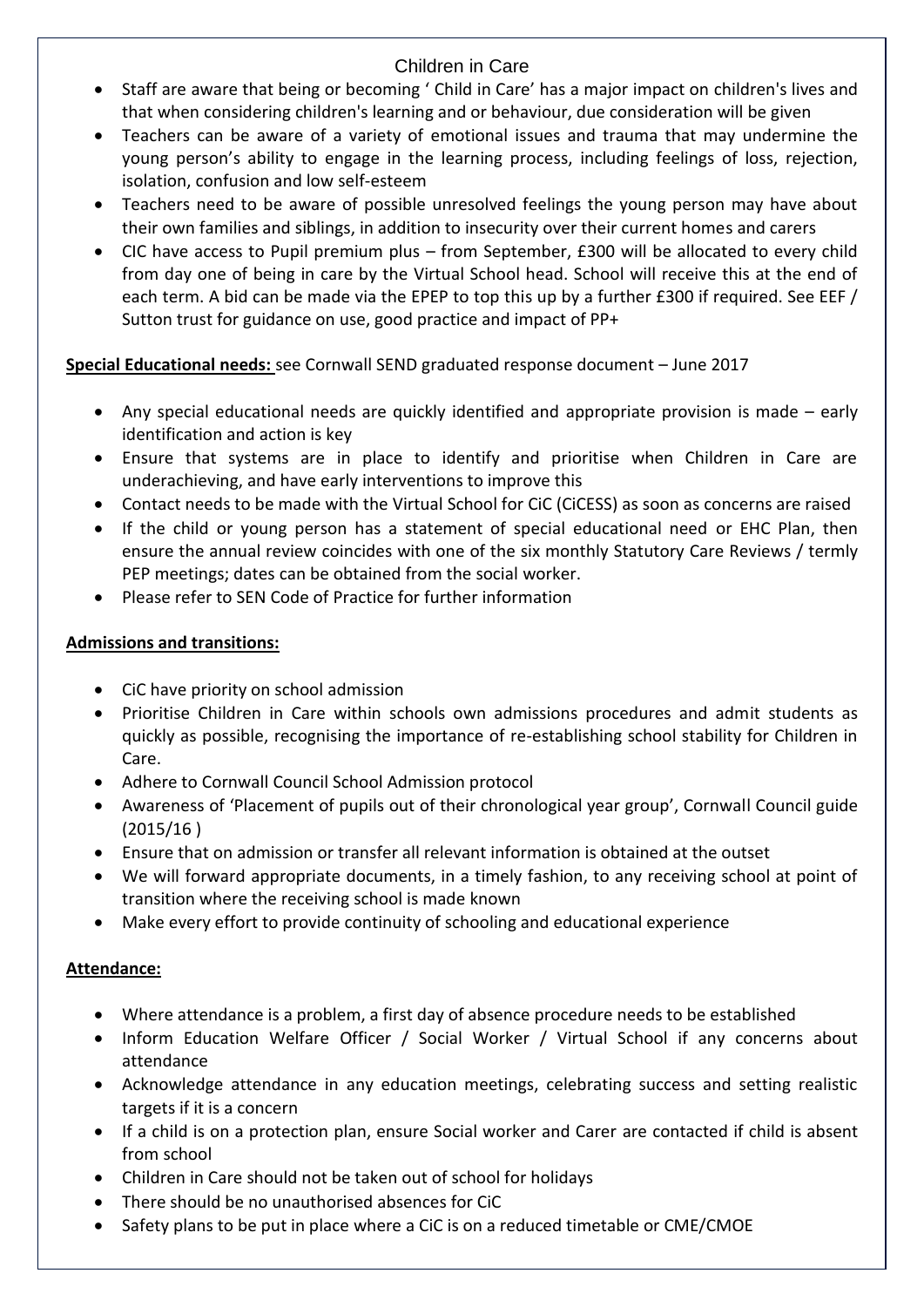- Staff are aware that being or becoming ' Child in Care' has a major impact on children's lives and that when considering children's learning and or behaviour, due consideration will be given
- Teachers can be aware of a variety of emotional issues and trauma that may undermine the young person's ability to engage in the learning process, including feelings of loss, rejection, isolation, confusion and low self-esteem
- Teachers need to be aware of possible unresolved feelings the young person may have about their own families and siblings, in addition to insecurity over their current homes and carers
- CIC have access to Pupil premium plus from September, £300 will be allocated to every child from day one of being in care by the Virtual School head. School will receive this at the end of each term. A bid can be made via the EPEP to top this up by a further £300 if required. See EEF / Sutton trust for guidance on use, good practice and impact of PP+

**Special Educational needs:** see Cornwall SEND graduated response document – June 2017

- Any special educational needs are quickly identified and appropriate provision is made early identification and action is key
- Ensure that systems are in place to identify and prioritise when Children in Care are underachieving, and have early interventions to improve this
- Contact needs to be made with the Virtual School for CiC (CiCESS) as soon as concerns are raised
- If the child or young person has a statement of special educational need or EHC Plan, then ensure the annual review coincides with one of the six monthly Statutory Care Reviews / termly PEP meetings; dates can be obtained from the social worker.
- Please refer to SEN Code of Practice for further information

# **Admissions and transitions:**

- CiC have priority on school admission
- Prioritise Children in Care within schools own admissions procedures and admit students as quickly as possible, recognising the importance of re-establishing school stability for Children in Care.
- Adhere to Cornwall Council School Admission protocol
- Awareness of 'Placement of pupils out of their chronological year group', Cornwall Council guide (2015/16 )
- Ensure that on admission or transfer all relevant information is obtained at the outset
- We will forward appropriate documents, in a timely fashion, to any receiving school at point of transition where the receiving school is made known
- Make every effort to provide continuity of schooling and educational experience

# **Attendance:**

- Where attendance is a problem, a first day of absence procedure needs to be established
- Inform Education Welfare Officer / Social Worker / Virtual School if any concerns about attendance
- Acknowledge attendance in any education meetings, celebrating success and setting realistic targets if it is a concern
- If a child is on a protection plan, ensure Social worker and Carer are contacted if child is absent from school
- Children in Care should not be taken out of school for holidays
- There should be no unauthorised absences for CiC
- Safety plans to be put in place where a CiC is on a reduced timetable or CME/CMOE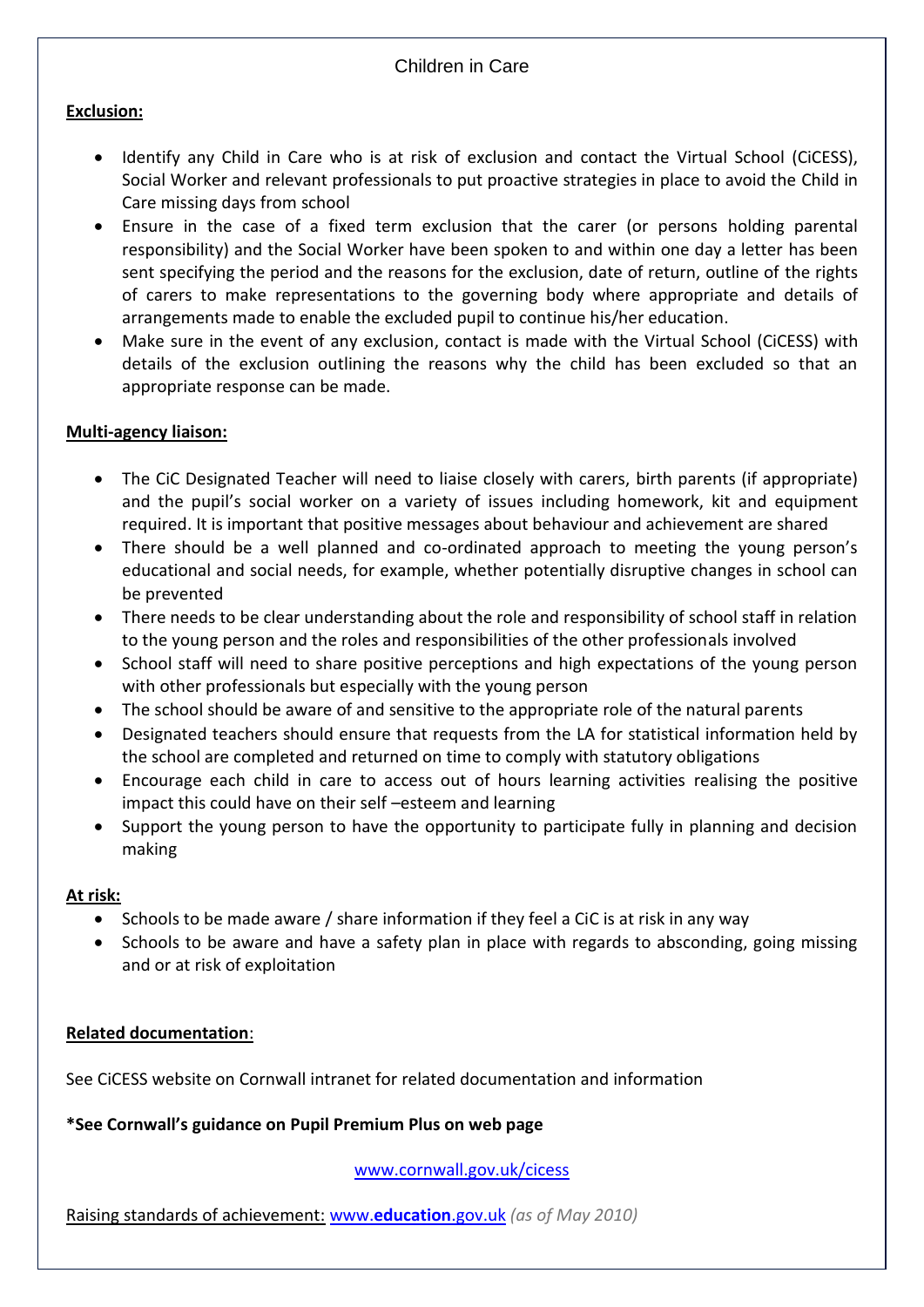#### **Exclusion:**

- Identify any Child in Care who is at risk of exclusion and contact the Virtual School (CiCESS), Social Worker and relevant professionals to put proactive strategies in place to avoid the Child in Care missing days from school
- Ensure in the case of a fixed term exclusion that the carer (or persons holding parental responsibility) and the Social Worker have been spoken to and within one day a letter has been sent specifying the period and the reasons for the exclusion, date of return, outline of the rights of carers to make representations to the governing body where appropriate and details of arrangements made to enable the excluded pupil to continue his/her education.
- Make sure in the event of any exclusion, contact is made with the Virtual School (CiCESS) with details of the exclusion outlining the reasons why the child has been excluded so that an appropriate response can be made.

#### **Multi-agency liaison:**

- The CiC Designated Teacher will need to liaise closely with carers, birth parents (if appropriate) and the pupil's social worker on a variety of issues including homework, kit and equipment required. It is important that positive messages about behaviour and achievement are shared
- There should be a well planned and co-ordinated approach to meeting the young person's educational and social needs, for example, whether potentially disruptive changes in school can be prevented
- There needs to be clear understanding about the role and responsibility of school staff in relation to the young person and the roles and responsibilities of the other professionals involved
- School staff will need to share positive perceptions and high expectations of the young person with other professionals but especially with the young person
- The school should be aware of and sensitive to the appropriate role of the natural parents
- Designated teachers should ensure that requests from the LA for statistical information held by the school are completed and returned on time to comply with statutory obligations
- Encourage each child in care to access out of hours learning activities realising the positive impact this could have on their self –esteem and learning
- Support the young person to have the opportunity to participate fully in planning and decision making

#### **At risk:**

- Schools to be made aware / share information if they feel a CiC is at risk in any way
- Schools to be aware and have a safety plan in place with regards to absconding, going missing and or at risk of exploitation

#### **Related documentation**:

See CiCESS website on Cornwall intranet for related documentation and information

#### **\*See Cornwall's guidance on Pupil Premium Plus on web page**

[www.cornwall.gov.uk/cicess](http://www.cornwall.gov.uk/cicess)

Raising standards of achievement: www.**[education](http://www.education.gov.uk/)**.gov.uk *(as of May 2010)*